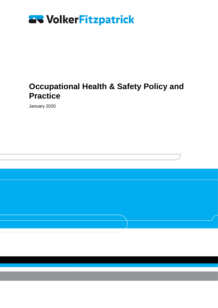

### **Occupational Health & Safety Policy and Practice**

January 2020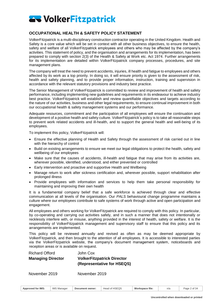

#### <span id="page-1-0"></span>**OCCUPATIONAL HEALTH & SAFETY POLICY STATEMENT**

VolkerFitzpatrick is a multi-disciplinary construction contractor operating in the United Kingdom. Health and Safety is a core value which will be set in context with all other business objectives, to ensure the health, safety and welfare of all VolkerFitzpatrick employees and others who may be affected by the company's activities. This statement of policy, and the organisation and arrangements for its implementation, has been prepared to comply with section 2(3) of the Health & Safety at Work etc. Act 1974. Further arrangements for its implementation are detailed within VolkerFitzpatrick company processes, procedures, and site management plans.

The company will treat the need to prevent accidents, injuries, ill health and fatigue to employees and others affected by its work as a top priority. In doing so, it will ensure priority is given to the assessment of risk, health and safety planning, and to provide proper information, instruction, training and supervision in accordance with the relevant statutory provisions and industry best practice.

The Senior Management of VolkerFitzpatrick is committed to review and improvement of health and safety performance, including implementing new guidelines and requirements in its endeavour to achieve industry best practice. VolkerFitzpatrick will establish and review quantifiable objectives and targets according to the nature of our activities, business and other legal requirements, to ensure continual improvement in both our occupational health & safety management systems and our performance.

Adequate resources, commitment and the participation of all employees will ensure the continuation and development of a positive health and safety culture. VolkerFitzpatrick's policy is to take all reasonable steps to prevent work related accidents and ill-health, and to support the general health and well-being of its employees.

To implement this policy, VolkerFitzpatrick will:

- Ensure the effective planning of Health and Safety through the assessment of risk carried out in line with the hierarchy of control
- Build on existing arrangements to ensure we meet our legal obligations to protect the health, safety and wellbeing of our employees
- Make sure that the causes of accidents, ill-health and fatigue that may arise from its activities are, wherever possible, identified, understood, and either prevented or controlled
- Early intervention and proactive and supportive Health and Wellbeing
- Manage return to work after sickness certification and, wherever possible, support rehabilitation after prolonged illness
- Provide employees with information and services to help them take personal responsibility for maintaining and improving their own health

It is a fundamental company belief that a safe workforce is achieved through clear and effective communication at all levels of the organisation. Our *PALS* behavioural change programme maintains a culture where our employees contribute to safe systems of work through active and open participation and engagement.

All employees and others working for VolkerFitzpatrick are required to comply with this policy. In particular, by co-operating and carrying out activities safely, and in such a manner that does not intentionally or recklessly interfere with, or misuse, anything provided in the interest of health, safety or welfare. It is the responsibility of VolkerFitzpatrick management and supervisory staff to ensure that this policy and its arrangements are implemented.

This policy will be reviewed annually and revised as often as may be deemed appropriate by VolkerFitzpatrick, and then brought to the attention of all employees. It is accessible to interested parties via the VolkerFitzpatrick website, the company's document management system, noticeboards and reception areas or is available on request.

| <b>Richard Offord</b>    | John Cox                          |
|--------------------------|-----------------------------------|
| <b>Managing Director</b> | <b>VolkerFitzpatrick Director</b> |
|                          | (Representative for HSEQS)        |
|                          |                                   |

November 2019 November 2019

| Approved for IMS: | <b>IMS</b><br>Manager | Document owner: | Head of HSEQS | Workspace file: | n/s | Page 2 of 34 |
|-------------------|-----------------------|-----------------|---------------|-----------------|-----|--------------|
|-------------------|-----------------------|-----------------|---------------|-----------------|-----|--------------|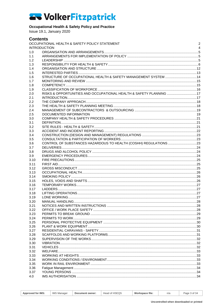#### **Occupational Health & Safety Policy and Practice**

Issue 19.1. January 2020

4.0

#### **Contents** OCCUPATIONAL HEALTH & SAFETY POLICY STATEMENT  $\overline{2}$ **INTRODUCTION**  $\overline{A}$  $1<sub>0</sub>$  $1<sub>1</sub>$  $12$  $1.3$  $1.4$  $1.5$ STRUCTURE OF OCCUPATIONAL HEALTH & SAFETY MANAGEMENT SYSTEM .................................. 14  $1.6$  $17$  $1.8$  $1<sub>q</sub>$  $20$  $2.1$  $2.2$  $2.3$  $2.4$  $2.5$ DOCUMENTED INFORMATION 19  $3.0$  $3.1$  $3.2$  $3.3$  $34$  $35$  $36$  $37$  $3R$ 3 Q  $3.10$  $3.11$  $3.12$  $3.13$  $3.14$  $3.15$  $3.16$  $3.17$  $3.18$ 3.19  $3.20$  $3.21$  $3.22$  $3.23$  $324$ 3.25  $3.26$ 3.27 3.28 3.29  $3.30$ 3.31 3.32 3.33 3.34 3.35  $3.36$ 3.37

| <b>IMS Manager</b><br>Workspace file:<br>Head of HSEQS<br><b>Approved for IMS:</b><br>Page 3 of 34<br>Document owner:<br>$n/\varepsilon$ |
|------------------------------------------------------------------------------------------------------------------------------------------|
|------------------------------------------------------------------------------------------------------------------------------------------|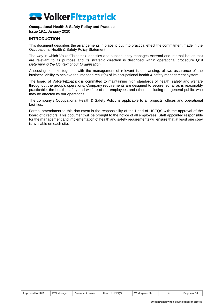#### **Occupational Health & Safety Policy and Practice**

Issue 19.1, January 2020

#### <span id="page-3-0"></span>**INTRODUCTION**

This document describes the arrangements in place to put into practical effect the commitment made in the Occupational Health & Safety Policy Statement.

The way in which VolkerFitzpatrick identifies and subsequently manages external and internal issues that are relevant to its purpose and its strategic direction is described within operational procedure Q19 *Determining the Context of our Organisation.* 

Assessing context, together with the management of relevant issues arising, allows assurance of the business' ability to achieve the intended result(s) of its occupational health & safety management system.

The board of VolkerFitzpatrick is committed to maintaining high standards of health, safety and welfare throughout the group's operations. Company requirements are designed to secure, so far as is reasonably practicable, the health, safety and welfare of our employees and others, including the general public, who may be affected by our operations.

The company's Occupational Health & Safety Policy is applicable to all projects, offices and operational facilities.

Formal amendment to this document is the responsibility of the Head of HSEQS with the approval of the board of directors. This document will be brought to the notice of all employees. Staff appointed responsible for the management and implementation of health and safety requirements will ensure that at least one copy is available on each site.

| Approved for IMS<br>Workspace file:<br><b>IMS Manager</b><br><b>HSEQS</b><br>Head of<br>Page 4 of 34<br>Document owner:<br>n/a |  |
|--------------------------------------------------------------------------------------------------------------------------------|--|
|--------------------------------------------------------------------------------------------------------------------------------|--|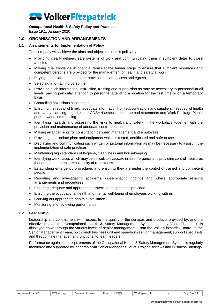#### **Occupational Health & Safety Policy and Practice**

<span id="page-4-0"></span>Issue 19.1, January 2020

#### **1.0 ORGANISATION AND ARRANGEMENTS**

#### **1.1 Arrangements for Implementation of Policy**

<span id="page-4-1"></span>The company will achieve the aims and objectives of this policy by:

- Providing clearly defined, safe systems of work and communicating them in sufficient detail to those affected
- Making due allowance in financial terms at the tender stage to ensure that sufficient resources and competent persons are provided for the management of health and safety at work
- Paying particular attention to the provision of safe access and egress
- Selecting and training personnel
- Providing such information, instruction, training and supervision as may be necessary to personnel at all levels, paying particular attention to personnel attending a location for the first time or on a temporary basis
- Controlling hazardous substances
- Ensuring the receipt of timely, adequate information from subcontractors and suppliers in respect of health and safety planning, e.g. risk and COSHH assessments, method statements and Work Package Plans, prior to work commencing
- Identifying hazards and assessing the risks to health and safety in the workplace together with the provision and maintenance of adequate control measures
- Making arrangements for consultation between management and employees
- Providing appropriate plant and equipment which is tested, certificated and safe to use
- Displaying and communicating such written or pictorial information as may be necessary to assist in the implementation of safe practices
- Maintaining high standards of hygiene, cleanliness and housekeeping
- Identifying workplaces which may be difficult to evacuate in an emergency and providing control measures that are tested to ensure suitability of robustness
- Establishing emergency procedures and ensuring they are under the control of trained and competent people
- Reporting and investigating accidents, disseminating findings and where appropriate revising arrangements and procedures
- Ensuring adequate and appropriate protective equipment is provided
- Ensuring the occupational health and mental well-being of employees working with us
- Carrying out appropriate health surveillance
- <span id="page-4-2"></span>• Monitoring and reviewing performance

#### **1.2 Leadership**

Leadership and commitment with respect to the quality of the services and products provided by, and the effectiveness of the Occupational Health & Safety Management System used by VolkerFitzpatrick, is displayed down through the various levels of senior management. From the VolkerFitzpatrick Board, to the Senior Management Team, on through business unit and operations senior management, support specialists, and through line management functions, to team leaders.

Performance against the requirements of the Occupational Health & Safety Management System is regularly monitored and supported by leadership via Senior Manager's Tours, Project Reviews and Business Briefings.

| <b>Approved for IMS:</b> | <b>IMS</b><br>Manager ن | Document owner: | Head of HSEQS | Workspace file: | n/a | Page 5 of 34 |
|--------------------------|-------------------------|-----------------|---------------|-----------------|-----|--------------|
|                          |                         |                 |               |                 |     |              |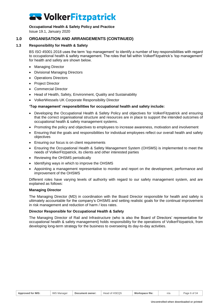#### **Occupational Health & Safety Policy and Practice**

Issue 19.1, January 2020

### **1.0 ORGANISATION AND ARRANGEMENTS (CONTINUED)**

#### **1.3 Responsibility for Health & Safety**

<span id="page-5-0"></span>BS ISO 45001:2018 uses the term 'top management' to identify a number of key responsibilities with regard to occupational health & safety management. The roles that fall within VolkerFitzpatrick's 'top management' for health and safety are shown below.

- Managing Director
- Divisional Managing Directors
- Operations Directors
- Project Director
- Commercial Director
- Head of Health, Safety, Environment, Quality and Sustainability
- VolkerWessels UK Corporate Responsibility Director

#### **'Top management' responsibilities for occupational health and safety include:**

- Developing the Occupational Health & Safety Policy and objectives for VolkerFitzpatrick and ensuring that the correct organisational structure and resources are in place to support the intended outcomes of occupational health & safety management systems.
- Promoting the policy and objectives to employees to increase awareness, motivation and involvement
- Ensuring that the goals and responsibilities for individual employees reflect our overall health and safety objectives
- Ensuring our focus is on client requirements
- Ensuring the Occupational Health & Safety Management System (OHSMS) is implemented to meet the needs of VolkerFitzpatrick, its clients and other interested parties
- Reviewing the OHSMS periodically
- Identifying ways in which to improve the OHSMS
- Appointing a management representative to monitor and report on the development, performance and improvement of the OHSMS

Different roles have varying levels of authority with regard to our safety management system, and are explained as follows:

#### **Managing Director**

The Managing Director (MD) in coordination with the Board Director responsible for health and safety is ultimately accountable for the company's OHSMS and setting realistic goals for the continual improvement in risk management and reduction of harm / loss rates.

#### **Director Responsible for Occupational Health & Safety**

The Managing Director of Rail and Infrastructure (who is also the Board of Directors' representative for occupational health & safety management) holds responsibility for the operations of VolkerFitzpatrick, from developing long-term strategy for the business to overseeing its day-to-day activities.

| <b>Approved for IMS:</b> | <b>IMS</b><br>;Manaɑer | Document owner: | Head of HSEQS | Workspace file: | n/a | 6 of 3.<br>Page |
|--------------------------|------------------------|-----------------|---------------|-----------------|-----|-----------------|
|--------------------------|------------------------|-----------------|---------------|-----------------|-----|-----------------|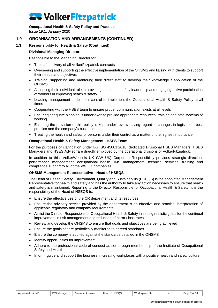### **Occupational Health & Safety Policy and Practice**

Issue 19.1, January 2020

### **1.0 ORGANISATION AND ARRANGEMENTS (CONTINUED)**

#### **1.3 Responsibility for Health & Safety (Continued)**

#### **Divisional Managing Directors**

Responsible to the Managing Director for:

- The safe delivery of all VolkerFitzpatrick contracts
- Overseeing and supporting the effective implementation of the OHSMS and liaising with clients to support their needs and objectives
- Training, supporting and mentoring their direct staff to develop their knowledge / application of the **OHSMS**
- Accepting their individual role in providing health and safety leadership and engaging active participation of workers in improving health & safety
- Leading management under their control to implement the Occupational Health & Safety Policy at all times
- Cooperating with the HSES team to ensure proper communication exists at all levels
- Ensuring adequate planning is undertaken to provide appropriate resources, training and safe systems of working
- Ensuring the provision of this policy is kept under review having regard to changes in legislation, best practice and the company's business
- Treating the health and safety of persons under their control as a matter of the highest importance

#### **Occupational Health & Safety Management - HSES Team**

For the purposes of clarification under BS ISO 45001:2018, dedicated Divisional HSES Managers, HSES Managers and HSES Advisor are directly employed by the operational divisions of VolkerFitzpatrick.

In addition to this, VolkerWessels UK (VW UK) Corporate Responsibility provides strategic direction, performance management, occupational health, IMS management, technical services, training and compliance support to all of the VW UK companies.

#### **OHSMS Management Representative - Head of HSEQS**

The Head of Health, Safety, Environment, Quality and Sustainability (HSEQS) is the appointed Management Representative for health and safety and has the authority to take any action necessary to ensure that health and safety is maintained. Reporting to the Director Responsible for Occupational Health & Safety, it is the responsibility of the Head of HSEQS to:

- Ensure the effective use of the CR department and its resources.
- Ensure the advisory service provided by the department is an effective and practical interpretation of applicable regulatory and company requirements
- Assist the Director Responsible for Occupational Health & Safety in setting realistic goals for the continual improvement in risk management and reduction of harm / loss rates
- Review and develop the OHSMS to ensure that goals and objectives are being achieved
- Ensure the goals set are periodically monitored to agreed standards
- Ensure the company is audited against the standards detailed in the OHSMS
- Identify opportunities for improvement
- Adhere to the professional code of conduct as set through membership of the Institute of Occupational Safety and Health
- Inform, guide and support the business in creating workplaces with a positive health and safety culture

|  | ∙ IMS<br><b>Approved for</b> | Manage<br>IMS | Document owner: | Head of HSEQS | Workspace file: | n/a | of 34<br>Page |
|--|------------------------------|---------------|-----------------|---------------|-----------------|-----|---------------|
|--|------------------------------|---------------|-----------------|---------------|-----------------|-----|---------------|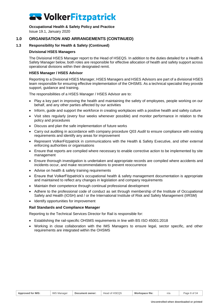#### **Occupational Health & Safety Policy and Practice**

Issue 19.1, January 2020

### **1.0 ORGANISATION AND ARRANGEMENTS (CONTINUED)**

#### **1.3 Responsibility for Health & Safety (Continued)**

#### **Divisional HSES Managers**

The Divisional HSES Manager report to the Head of HSEQS. In addition to the duties detailed for a Health & Safety Manager below, both roles are responsible for effective allocation of health and safety support across operational divisions within their designated remit.

#### **HSES Manager / HSES Advisor**

Reporting to a Divisional HSES Manager, HSES Managers and HSES Advisors are part of a divisional HSES team responsible for ensuring effective implementation of the OHSMS. As a technical specialist they provide support, guidance and training.

The responsibilities of a HSES Manager / HSES Advisor are to:

- Play a key part in improving the health and maintaining the safety of employees, people working on our behalf, and any other parties affected by our activities
- Inform, guide and support the workforce in creating workplaces with a positive health and safety culture
- Visit sites regularly (every four weeks whenever possible) and monitor performance in relation to the policy and procedures
- Discuss and plan the safe implementation of future works
- Carry out auditing in accordance with company procedure Q03 *Audit* to ensure compliance with existing requirements and identify any areas for improvement
- Represent VolkerFitzpatrick in communications with the Health & Safety Executive, and other external enforcing authorities or organisations
- Ensure that reports are compiled where necessary to enable corrective action to be implemented by site management
- Ensure thorough investigation is undertaken and appropriate records are compiled where accidents and incidents occur, and make recommendations to prevent reoccurrence
- Advise on health & safety training requirements
- Ensure that VolkerFitzpatrick's occupational health & safety management documentation is appropriate and maintained to reflect any changes in legislation and company requirements
- Maintain their competence through continual professional development
- Adhere to the professional code of conduct as set through membership of the Institute of Occupational Safety and Health (IOSH) and / or the International Institute of Risk and Safety Management (IIRSM)
- Identify opportunities for improvement

#### **Rail Standards and Compliance Manager**

Reporting to the Technical Services Director for Rail is responsible for:

- Establishing the rail-specific OHSMS requirements in line with BS ISO 45001:2018
- Working in close collaboration with the IMS Managers to ensure legal, sector specific, and other requirements are integrated within the OHSMS

| <b>Approved for IMS:</b> | <b>IMS Manager</b> | Document owner: | Head of HSEQS | Workspace file: | n/a | Page 8 of 3 |
|--------------------------|--------------------|-----------------|---------------|-----------------|-----|-------------|
|                          |                    |                 |               |                 |     |             |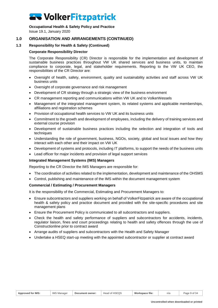#### **Occupational Health & Safety Policy and Practice**

Issue 19.1, January 2020

### **1.0 ORGANISATION AND ARRANGEMENTS (CONTINUED)**

#### **1.3 Responsibility for Health & Safety (Continued)**

#### **Corporate Responsibility Director**

The Corporate Responsibility (CR) Director is responsible for the implementation and development of sustainable business practices throughout VW UK shared services and business units, to maintain compliance to corporate, legal, and stakeholder requirements. Reporting to the VW UK CEO, the responsibilities of the CR Director are:

- Oversight of health, safety, environment, quality and sustainability activities and staff across VW UK business units
- Oversight of corporate governance and risk management
- Development of CR strategy through a strategic view of the business environment
- CR management reporting and communications within VW UK and to VolkerWessels
- Management of the integrated management system, its related systems and applicable memberships, affiliations and registration schemes
- Provision of occupational health services to VW UK and its business units
- Commitment to the growth and development of employees, including the delivery of training services and external course provision
- Development of sustainable business practices including the selection and integration of tools and techniques
- Understanding the role of government, business, NGOs, society, global and local issues and how they interact with each other and their impact on VW UK
- Development of systems and protocols, including IT platforms, to support the needs of the business units
- Lead officer for major incidents and provision of legal support services

#### **Integrated Management Systems (IMS) Managers**

Reporting to the CR Director the IMS Managers are responsible for:

- The coordination of activities related to the implementation, development and maintenance of the OHSMS
- Control, publishing and maintenance of the IMS within the document management system

#### **Commercial / Estimating / Procurement Managers**

It is the responsibility of the Commercial, Estimating and Procurement Managers to:

- Ensure subcontractors and suppliers working on behalf of VolkerFitzpatrick are aware of the occupational health & safety policy and practice document and provided with the site-specific procedures and site management plans
- Ensure the Procurement Policy is communicated to all subcontractors and suppliers.
- Check the health and safety performance of suppliers and subcontractors for accidents, incidents, regulator liaison, fines and court proceedings relating to health and safety offences through the use of Constructionline prior to contract award
- Arrange audits of suppliers and subcontractors with the Health and Safety Manager
- Undertake a HSEQ start-up meeting with the appointed subcontractor or supplier at contract award

|  | Approved for IMS: | <b>IMS Manager</b> | Document owner: | of HSEOS<br>Head | Workspace file: | n/a | $P$ age 9 of 3 $\sim$ |
|--|-------------------|--------------------|-----------------|------------------|-----------------|-----|-----------------------|
|--|-------------------|--------------------|-----------------|------------------|-----------------|-----|-----------------------|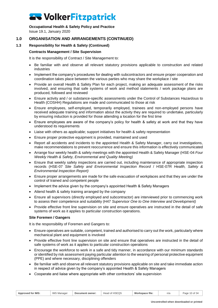**Occupational Health & Safety Policy and Practice**

Issue 19.1, January 2020

### **1.0 ORGANISATION AND ARRANGEMENTS (CONTINUED)**

#### **1.3 Responsibility for Health & Safety (Continued)**

#### **Contracts Management / Site Supervision**

It is the responsibility of Contract / Site Management to:

- Be familiar with and observe all relevant statutory provisions applicable to construction and related industries
- Implement the company's procedures for dealing with subcontractors and ensure proper cooperation and coordination takes place between the various parties who may share the workplace / site
- Provide an overall Health & Safety Plan for each project, making an adequate assessment of the risks involved, and ensuring that safe systems of work and method statements / work package plans are produced, followed and reviewed
- Ensure activity and / or substance-specific assessments under the Control of Substances Hazardous to Health (COSHH) Regulations are made and communicated to those at risk
- Ensure employees, self-employed, temporarily employed, trainees and non-employed persons have received adequate training and information about the activity they are required to undertake, particularly by ensuring induction is provided for those attending a location for the first time
- Ensure employees are aware of the company's policy for health & safety at work and that they have understood its requirements
- Liaise with others as applicable; support initiatives for health & safety representation
- Ensure proper protective equipment is provided, maintained and used
- Report all accidents and incidents to the appointed Health & Safety Manager, carry out investigations, make recommendations to prevent reoccurrence and ensure this information is effectively communicated
- Arrange four weekly health & safety meetings with the appointed Health & Safety Manager (HSE-04 *Four Weekly Health & Safety, Environmental and Quality Meeting)*
- Ensure that weekly safety inspections are carried out, including maintenance of appropriate inspection records (HSE-07 *Site Safety and Environmental Inspection Record* / HSE-07R *Health, Safety & Environmental Inspection Report)*
- Ensure proper arrangements are made for the safe evacuation of workplaces and that they are under the control of trained and competent people
- Implement the advice given by the company's appointed Health & Safety Managers
- Attend health & safety training arranged by the company
- Ensure all supervisors (directly employed and subcontractor) are interviewed prior to commencing work to assess their competence and suitability (H47 *Supervisor One to One Interview and Development)*
- Provide effective front line supervision on site and ensure operatives are instructed in the detail of safe systems of work as it applies to particular construction operations.

#### **Site Foremen / Gangers**

It is the responsibility of Foremen and Gangers to:

- Ensure operatives are suitable, competent, trained and authorised to carry out the work, particularly where mechanical plant and equipment is involved
- Provide effective front line supervision on site and ensure that operatives are instructed in the detail of safe systems of work as it applies to particular construction operations
- Encourage the workforce to work in a safe and tidy manner, in accordance with our minimum standards or identified by risk assessment paying particular attention to the wearing of personal protective equipment (PPE) and where necessary, disciplining offenders
- Be familiar with and observe all relevant statutory provisions applicable on site and take immediate action in respect of advice given by the company's appointed Health & Safety Managers
- Cooperate and liaise where appropriate with other contractors' site supervision

| <b>Approved for IMS:</b> | <b>IMS Manager</b> | Document owner: | Head of HSEQS | Workspace file: | n/a | Page 10 of 34 |
|--------------------------|--------------------|-----------------|---------------|-----------------|-----|---------------|
|--------------------------|--------------------|-----------------|---------------|-----------------|-----|---------------|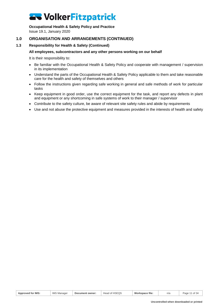### **Occupational Health & Safety Policy and Practice**

Issue 19.1, January 2020

### **1.0 ORGANISATION AND ARRANGEMENTS (CONTINUED)**

#### **1.3 Responsibility for Health & Safety (Continued)**

#### **All employees, subcontractors and any other persons working on our behalf**

It is their responsibility to:

- Be familiar with the Occupational Health & Safety Policy and cooperate with management / supervision in its implementation
- Understand the parts of the Occupational Health & Safety Policy applicable to them and take reasonable care for the health and safety of themselves and others
- Follow the instructions given regarding safe working in general and safe methods of work for particular tasks
- Keep equipment in good order, use the correct equipment for the task, and report any defects in plant and equipment or any shortcoming in safe systems of work to their manager / supervisor
- Contribute to the safety culture, be aware of relevant site safety rules and abide by requirements
- Use and not abuse the protective equipment and measures provided in the interests of health and safety

| Head of HSEQS<br><b>IMS Manager</b><br>Approved for IMS:<br>Workspace file:<br>Page 11 of 34<br>Document owner:<br>n/a |
|------------------------------------------------------------------------------------------------------------------------|
|------------------------------------------------------------------------------------------------------------------------|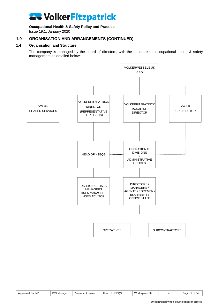### **Occupational Health & Safety Policy and Practice**

Issue 19.1, January 2020

### **1.0 ORGANISATION AND ARRANGEMENTS (CONTINUED)**

#### **1.4 Organisation and Structure**

<span id="page-11-0"></span>The company is managed by the board of directors, with the structure for occupational health & safety management as detailed below:



| <b>Approved for IMS:</b> | <b>IMS Manager</b> | Document owner: | Head of HSEQS | Workspace file: | n/a | Page 12 of 34 |
|--------------------------|--------------------|-----------------|---------------|-----------------|-----|---------------|
|--------------------------|--------------------|-----------------|---------------|-----------------|-----|---------------|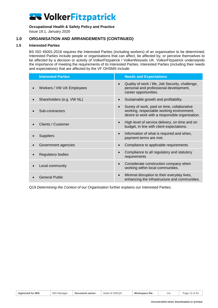#### **Occupational Health & Safety Policy and Practice**

Issue 19.1, January 2020

### **1.0 ORGANISATION AND ARRANGEMENTS (CONTINUED)**

#### **1.5 Interested Parties**

<span id="page-12-0"></span>BS ISO 45001:2018 requires the Interested Parties (including workers) of an organisation to be determined; Interested Parties include people or organisations that can affect, be affected by, or perceive themselves to be affected by a decision or activity of VolkerFitzpatrick / VolkerWessels UK. VolkerFitzpatrick understands the importance of meeting the requirements of its Interested Parties. Interested Parties (including their needs and expectations) that are affected by the VF OHSMS include:

| <b>Interested Parties</b> |           | <b>Needs and Expectations</b>                                                                                                               |
|---------------------------|-----------|---------------------------------------------------------------------------------------------------------------------------------------------|
| Workers / VW UK Employees | $\bullet$ | Quality of work / life, Job Security, challenge,<br>personal and professional development,<br>career opportunities.                         |
| Shareholders (e.g. VW NL) | $\bullet$ | Sustainable growth and profitability.                                                                                                       |
| Sub-contractors           | $\bullet$ | Surety of work, paid on time, collaborative<br>working, respectable working environment,<br>desire to work with a responsible organisation. |
| Clients / Customer        | $\bullet$ | High level of service delivery, on time and on<br>budget, in line with client expectations.                                                 |
| <b>Suppliers</b>          | $\bullet$ | Information of what is required and when,<br>payment terms are met.                                                                         |
| Government agencies       | $\bullet$ | Compliance to applicable requirements                                                                                                       |
| Regulatory bodies         | $\bullet$ | Compliance to all regulatory and statutory<br>requirements                                                                                  |
| Local community           | $\bullet$ | Considerate construction company when<br>working within local communities.                                                                  |
| <b>General Public</b>     | $\bullet$ | Minimal disruption to their everyday lives,<br>enhancing the infrastructure and communities.                                                |

Q19 *Determining the Context of our Organisation* further explains our Interested Parties.

| <b>Approved for IMS:</b> | <b>IMS Manager</b> | Document owner: | Head of HSEQS | Workspace file: | n/a | Page 13 of 34 |
|--------------------------|--------------------|-----------------|---------------|-----------------|-----|---------------|
|                          |                    |                 |               |                 |     |               |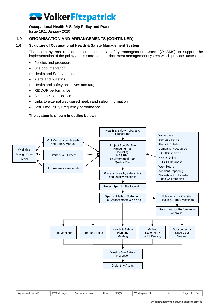#### **Occupational Health & Safety Policy and Practice**

Issue 19.1, January 2020

### **1.0 ORGANISATION AND ARRANGEMENTS (CONTINUED)**

#### **1.6 Structure of Occupational Health & Safety Management System**

<span id="page-13-0"></span>The company has an occupational health & safety management system (OHSMS) to support the implementation of the policy and is stored on our document management system which provides access to

- Policies and procedures
- Site documentation
- Health and Safety forms
- Alerts and bulletins
- Health and safety objectives and targets
- RIDDOR performance
- Best practice guidance
- Links to external web-based health and safety information
- Lost Time Injury Frequency performance

#### **The system is shown in outline below:**



| <b>Approved for IMS:</b> | <b>IMS Manager</b> | Document owner: | Head of HSEQS | Workspace file: | n/a | Page 14 of 34 |
|--------------------------|--------------------|-----------------|---------------|-----------------|-----|---------------|
|                          |                    |                 |               |                 |     |               |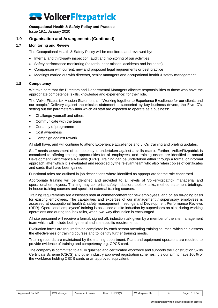#### **Occupational Health & Safety Policy and Practice**

Issue 19.1, January 2020

#### **1.0 Organisation and Arrangements (Continued)**

#### **1.7 Monitoring and Review**

<span id="page-14-0"></span>The Occupational Health & Safety Policy will be monitored and reviewed by:

- Internal and third-party inspection, audit and monitoring of our activities
- Safety performance monitoring (hazards, near misses, accidents and incidents)
- Comparison with current, new and proposed legal requirements or best practice
- <span id="page-14-1"></span>• Meetings carried out with directors, senior managers and occupational health & safety management

#### **1.8 Competency**

We take care that the Directors and Departmental Managers allocate responsibilities to those who have the appropriate competence (skills, knowledge and experience) for their role.

The VolkerFitzpatrick Mission Statement is - "Working together to Experience Excellence for our clients and our people." Delivery against the mission statement is supported by key business drivers, the Five 'C's, setting out the parameters within which all staff are expected to operate as a business:

- Challenge yourself and others
- Communicate with the team
- Certainty of programme
- Cost awareness
- Campaign against rework

All staff have, and will continue to attend Experience Excellence and 5 'Cs' training and briefing updates.

Staff needs assessment of competency is undertaken against a skills matrix. Further, VolkerFitzpatrick is committed to offering training opportunities for all employees, and training needs are identified at annual Development Performance Reviews (DPR). Training can be undertaken either through a formal or informal approach, after which it is evaluated and recorded by the relevant team who also retain copies of certificates and cards that have been gained.

Functional roles are outlined in job descriptions where identified as appropriate for the role concerned.

Appropriate training will be identified and provided to all levels of VolkerFitzpatrick managerial and operational employees. Training may comprise safety induction, toolbox talks, method statement briefings, in-house training courses and specialist external training courses.

Training requirements are assessed both at commencement for new employees, and on an on-going basis for existing employees. The capabilities and expertise of our management / supervisory employees is assessed at occupational health & safety management meetings and Development Performance Reviews (DPR). Operational employees' training is assessed at site induction by supervisors on site, during working operations and during tool box talks, when two-way discussion is encouraged.

All site personnel will receive a formal, signed off, induction talk given by a member of the site management team which will include both general and site-specific requirements.

Evaluation forms are required to be completed by each person attending training courses, which help assess the effectiveness of training courses and to identify further training needs.

Training records are maintained by the training department. Plant and equipment operators are required to provide evidence of training and competency e.g. CPCS card.

The company is committed to a fully qualified and certificated workforce and supports the Construction Skills Certificate Scheme (CSCS) and other industry approved registration schemes. It is our aim to have 100% of the workforce holding CSCS cards or an approved equivalent.

| <b>Approved for IMS:</b> | <b>IMS Manager</b> | Document owner: | Head of HSEQS | Workspace file: | n/a | Page<br>$\sim$ $+$ $\sim$<br>. ג וט פ |
|--------------------------|--------------------|-----------------|---------------|-----------------|-----|---------------------------------------|
|--------------------------|--------------------|-----------------|---------------|-----------------|-----|---------------------------------------|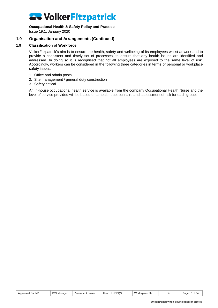#### **Occupational Health & Safety Policy and Practice**

Issue 19.1, January 2020

### **1.0 Organisation and Arrangements (Continued)**

#### **1.9 Classification of Workforce**

<span id="page-15-0"></span>VolkerFitzpatrick's aim is to ensure the health, safety and wellbeing of its employees whilst at work and to provide a consistent and timely set of processes, to ensure that any health issues are identified and addressed. In doing so it is recognised that not all employees are exposed to the same level of risk. Accordingly, workers can be considered in the following three categories in terms of personal or workplace safety issues:

- 1. Office and admin posts
- 2. Site management / general duty construction
- 3. Safety critical

An in-house occupational health service is available from the company Occupational Health Nurse and the level of service provided will be based on a health questionnaire and assessment of risk for each group.

| <b>Approved for IMS:</b> | <b>IMS Manager</b> | Document owner: | Head of HSEQS | Workspace file: | n/a | Page 16 of 34 |
|--------------------------|--------------------|-----------------|---------------|-----------------|-----|---------------|
|--------------------------|--------------------|-----------------|---------------|-----------------|-----|---------------|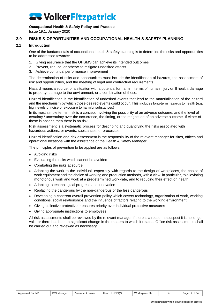#### **Occupational Health & Safety Policy and Practice**

<span id="page-16-0"></span>Issue 19.1, January 2020

#### **2.0 RISKS & OPPORTUNITIES AND OCCUPATIONAL HEALTH & SAFETY PLANNING**

#### **2.1 Introduction**

<span id="page-16-1"></span>One of the fundamentals of occupational health & safety planning is to determine the risks and opportunities to be addressed towards:

- 1. Giving assurance that the OHSMS can achieve its intended outcomes
- 2. Prevent, reduce, or otherwise mitigate undesired effects
- 3. Achieve continual performance improvement

The determination of risks and opportunities must include the identification of hazards, the assessment of risk and opportunities, and the meeting of legal and contractual requirements.

Hazard means a source, or a situation with a potential for harm in terms of human injury or ill health, damage to property, damage to the environment, or a combination of these.

Hazard identification is the identification of undesired events that lead to the materialisation of the hazard and the mechanism by which those desired events could occur. This includes long-term hazards to health (e.g. high levels of noise or exposure to harmful substances)

In its most simple terms, risk is a concept involving the possibility of an adverse outcome, and the level of certainty / uncertainty over the occurrence, the timing, or the magnitude of an adverse outcome. If either of these is absent, then there is no risk.

Risk assessment is a systematic process for describing and quantifying the risks associated with hazardous actions, or events, substances, or processes,

Hazard identification and risk assessment is the responsibility of the relevant manager for sites, offices and operational locations with the assistance of the Health & Safety Manager.

The principles of prevention to be applied are as follows:

- Avoiding risks
- Evaluating the risks which cannot be avoided
- Combating the risks at source
- Adapting the work to the individual, especially with regards to the design of workplaces, the choice of work equipment and the choice of working and production methods, with a view, in particular, to alleviating monotonous work and work at a predetermined work-rate, and to reducing their effect on health
- Adapting to technological progress and innovation
- Replacing the dangerous by the non-dangerous or the less dangerous
- Developing a coherent overall prevention policy which covers technology, organisation of work, working conditions, social relationships and the influence of factors relating to the working environment
- Giving collective protective measures priority over individual protective measures
- Giving appropriate instructions to employees

All risk assessments shall be reviewed by the relevant manager if there is a reason to suspect it is no longer valid or there has been a significant change in the matters to which it relates. Office risk assessments shall be carried out and reviewed as necessary.

|  | Approved for IMS: | <b>IMS Manager</b> | Document owner: | $T^{\circ}$<br>া of HSEQ১<br>Head | Workspace file: | n/a | Page<br>of 34 |
|--|-------------------|--------------------|-----------------|-----------------------------------|-----------------|-----|---------------|
|--|-------------------|--------------------|-----------------|-----------------------------------|-----------------|-----|---------------|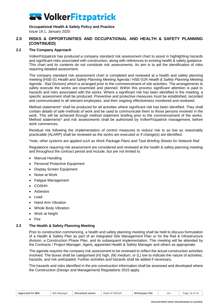**Occupational Health & Safety Policy and Practice** Issue 19.1, January 2020

#### **2.0 RISKS & OPPORTUNITIES AND OCCUPATIONAL AND HEALTH & SAFETY PLANNING (CONTINUED)**

#### **2.2 The Company Approach**

<span id="page-17-0"></span>VolkerFitzpatrick has produced a company standard risk assessment chart to assist in highlighting hazards and significant risks associated with construction, along with references to existing health & safety guidance. This chart and its contents do not constitute risk assessments. Its aim is to aid the identification of risks requiring detailed assessment.

The company standard risk assessment chart is completed and reviewed at a health and safety planning meeting (HSE-01 *Health and Safety Planning Meeting Agenda* / HSE-01R *Health & Safety Planning Meeting Agenda - Rail Division)* which is arranged prior to the commencement of site activities. The arrangements to safely execute the works are examined and planned. Within this process significant attention is paid to hazards and risks associated with the works. Where a significant risk has been identified in the meeting, a specific assessment shall be produced. Preventive and protective measures must be established, recorded and communicated to all relevant employees, and their ongoing effectiveness monitored and reviewed.

Method statements\* shall be produced for all activities where significant risk has been identified. They shall contain details of safe methods of work and be used to communicate them to those persons involved in the work. This will be achieved through method statement briefing prior to the commencement of the works. Method statements\* and risk assessments shall be authorised by VolkerFitzpatrick management, before work commences.

Residual risk following the implementation of control measures to reduce risk to as low as reasonably practicable (ALARP) shall be reviewed as the works are executed or if change(s) are identified.

*\*note, other systems are applied such as Work Package Plans and Task Briefing Sheets for Network Rail*

Regulations requiring risk assessment are considered and reviewed at the health & safety planning meeting and throughout the contract period and include, but are not limited to:

- Manual Handling
- Personal Protective Equipment
- Display Screen Equipment
- Noise at Work
- Fatigue Management
- COSHH
- Asbestos
- Lead
- Hand Arm Vibration
- Whole Body Vibration
- Work at height
- <span id="page-17-1"></span>• Fire

#### **2.3 The Health & Safety Planning Meeting**

Prior to construction commencing, a health and safety planning meeting shall be held to discuss formulation of a Health & Safety Plan as part of an integrated Site Management Plan or for the Rail & Infrastructure division, a Construction Phase Plan, and its subsequent implementation. This meeting will be attended by the Contracts / Project Manager, Agent, appointed Health & Safety Manager and others as appropriate.

The agenda requires the company risk assessment to be reviewed to reflect the actual construction activities involved. The boxes shall be categorised (H) high, (M) medium, or (L) low to indicate the nature of activities, hazards, and risk anticipated. Further activities and hazards shall be added if necessary.

The hazards and risks identified in the pre-construction information shall be assessed and developed where the Construction (Design and Management) Regulations 2015 apply.

| <b>IMS Manager</b><br><b>Approved for IMS:</b><br>Head of HSEQS<br>Workspace file:<br>Page 18 of 34<br>Document owner:<br>n/a |
|-------------------------------------------------------------------------------------------------------------------------------|
|-------------------------------------------------------------------------------------------------------------------------------|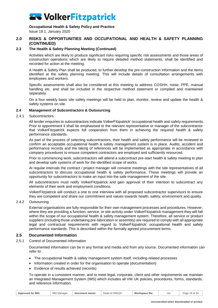**Occupational Health & Safety Policy and Practice**

### Issue 19.1, January 2020

#### **2.0 RISKS & OPPORTUNITIES AND OCCUPATIONAL AND HEALTH & SAFETY PLANNING (CONTINUED)**

#### **2.3 The Health & Safety Planning Meeting (Continued)**

Activities which are likely to produce significant risks requiring specific risk assessments and those areas of construction operations which are likely to require detailed method statements, shall be identified and recorded for action at the meeting.

A Health & Safety Plan shall be produced, to further develop the pre-construction information and the items identified at the safety planning meeting. This will include details of consultation arrangements with employees and workers.

Specific assessments shall also be considered at this meeting to address COSHH, noise, PPE, manual handling etc. and shall be included in the respective method statement or compiled and maintained separately.

<span id="page-18-0"></span>On a four weekly basis site safety meetings will be held to plan, monitor, review and update the health & safety systems on site.

#### **2.4 Management of Subcontractors & Outsourcing**

#### 2.4.1 Subcontractors

All tender enquiries to subcontractors indicate VolkerFitzpatrick' occupational health and safety requirements. Prior to appointment it shall be emphasised to the relevant representative or manager of the subcontractor that VolkerFitzpatrick expects full cooperation from them in achieving the required health & safety performance standards.

As part of the process of selecting subcontractors, their health and safety performance will be reviewed to confirm an acceptable occupational health & safety management system is in place. Audits, accident and performance records and the taking of references will be implemented as appropriate in accordance with company procedures to ensure competent contractors are employed and sufficiently resourced.

Prior to commencing work, subcontractors will attend a subcontract pre-start health & safety meeting to plan and develop safe systems of work for the identified scope of works.

At regular intervals the contract / project manager will convene meetings with the site representatives of all subcontractors to discuss occupational health & safety performance. These meetings will provide an opportunity for subcontractors to make an input into the safe management of the site.

All subcontractors must notify VolkerFitzpatrick and gain approval of their intention to subcontract any elements of their work and employment conditions.

VolkerFitzpatrick will conduct a one to one interview with all proposed subcontractor supervisors to ensure they are competent and share our commitment and values towards health, safety, environment and quality.

#### 2.4.2 Outsourcing

External organisations are fully responsible for their own management processes and procedures. However, where they are providing a function, service, or site activity under VolkerFitzpatrick management they will fall within the scope of our occupational health & safety management system. Therefore, all service or product suppliers (including those undertaking pre-fabrication or assembly) are required to comply with all appropriate legal and contractual requirements with regard to VolkerFitzpatrick' occupational health and safety performance standards. This is described within the formally agreed procurement terms.

#### <span id="page-18-1"></span>**2.5 Documented Information**

2.5.1 Control of Documented Information

Documented information can be in any format and media and from any source. Documented information can refer to:

- The occupational health & safety management system itself, including related processes
- Information created in order for the organisation to operate (documentation)
- Evidence of results achieved (records)

To operate in a consistent manner, and to meet legal, corporate, client and other requirements we maintain an Integrated Management System (IMS) which includes all VW UK policies, procedures, forms, standards, and reference information.

| Approved for IMS: | <b>IMS Manager</b> | Document owner: | Head of HSEQS | Workspace file: | n/a | Page 19 of 34 |
|-------------------|--------------------|-----------------|---------------|-----------------|-----|---------------|
|-------------------|--------------------|-----------------|---------------|-----------------|-----|---------------|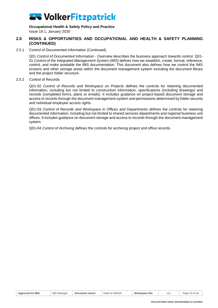**Occupational Health & Safety Policy and Practice**

Issue 19.1, January 2020

#### **2.0 RISKS & OPPORTUNITIES AND OCCUPATIONAL AND HEALTH & SAFETY PLANNING (CONTINUED)**

#### 2.5.1 Control of Documented Information (Continued)

Q01 *Control of Documented Information - Overview* describes the business approach towards control. Q01- 01 *Control of the Integrated Management System (IMS)* defines how we establish, create, format, reference, control, and make available the IMS documentation. This document also defines how we control the IMS screens and other storage areas within the document management system including the document library and the project folder structure.

#### 2.5.2 Control of Records

Q01-02 *Control of Records and Workspace on Projects* defines the controls for retaining documented information, including but not limited to construction information, specifications (including drawings) and records (completed forms, plans or emails). It includes guidance on project-based document storage and access to records through the document management system and permissions determined by folder security and individual employee access rights.

Q01-03 *Control of Records and Workspace in Offices and Departments* defines the controls for retaining documented information, including but not limited to shared services departments and regional business unit offices. It includes guidance on document storage and access to records through the document management system.

Q01-04 *Control of Archiving* defines the controls for archiving project and office records.

| Approved for IMS: | <b>IMS Manager</b><br>Document owner: | Head of HSEQS | Workspace file: | n/a | Page 20 of 34 |
|-------------------|---------------------------------------|---------------|-----------------|-----|---------------|
|-------------------|---------------------------------------|---------------|-----------------|-----|---------------|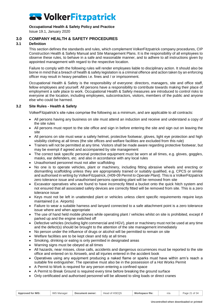#### **Occupational Health & Safety Policy and Practice**

<span id="page-20-0"></span>Issue 19.1, January 2020

### **3.0 COMPANY HEALTH & SAFETY PROCEDURES**

#### **3.1 Definition**

<span id="page-20-1"></span>This section defines the standards and rules, which complement VolkerFitzpatrick company procedures, CIP Construction Health & Safety Manual and Site Management Plans. It is the responsibility of all employees to observe these rules, to behave in a safe and reasonable manner, and to adhere to all instructions given by appointed management with regard to the respective location.

Failure to comply with the following rules will render employees liable to disciplinary action. It should also be borne in mind that a breach of health & safety legislation is a criminal offence and action taken by an enforcing officer may result in heavy penalties i.e. fines and / or imprisonment.

Occupational Health & Safety is the responsibility of everyone: directors, managers, site and office staff, fellow employees and yourself. All persons have a responsibility to contribute towards making their place of employment a safe place to work. Occupational Health & Safety measures are introduced to control risks to everyone at the location, including employees, subcontractors, visitors, members of the public and anyone else who could be harmed.

#### **3.2 Site Rules - Health & Safety**

<span id="page-20-2"></span>VolkerFitzpatrick's site rules comprise the following as a minimum, and are applicable to all contracts:

- All persons having any business on site must attend an induction and receive and understand a copy of the site rules
- All persons must report to the site office and sign in before entering the site and sign out on leaving the site
- All persons on site must wear a safety helmet, protective footwear, gloves, light eye protection and high visibility clothing at all times (the site offices and welfare facilities are excluded from this rule)
- Trainers will not be permitted at any time. Visitors shall be made aware regarding protective footwear, but may be exempt if agreed and accompanied by site management
- The correct task specific personal protective equipment must be worn at all times, e.g. gloves, goggles, masks, ear defenders, etc. and also in accordance with any local rules
- Unauthorised personnel must not alter scaffolding
- No one is to operate vehicles, plant or machinery, including fitting abrasive wheels and erecting or dismantling scaffolding unless they are appropriately trained or suitably qualified, e.g. CPCS or similar and authorised in writing by VolkerFitzpatrick, (H09-09 *Permit to Operate Plant).* This is a VolkerFitzpatrick zero tolerance issue and unauthorised persons operating plant will be removed from site
- Excavator operatives who are found to have incorrectly fitted a bucket onto the quick hitch system and not ensured that all associated safety devices are correctly fitted will be removed from site. This is a zero tolerance issue
- Keys must not be left in unattended plant or vehicles unless client specific requirements require keys maintained (i.e. Airports)
- Failure to wear a suitable harness and lanyard connected to a safe attachment point is a zero tolerance issue where and when appropriate
- The use of hand held mobile phones while operating plant / vehicles whilst on site is prohibited, except if parked up and the engine switched off
- Defective vehicles (including light commercial and HGV), plant or machinery must not be used at any time and the defect(s) should be brought to the attention of the site management immediately
- No person under the influence of drugs or alcohol will be permitted to remain on site
- Welfare facilities are to be kept clean and tidy at all times
- Smoking, drinking or eating is only permitted in designated areas
- Warning signs must be obeyed at all times
- All hazards, near misses, close calls, accidents and dangerous occurrences must be reported to the site office and entered on to Airsweb, and all injuries entered in the accident book
- Operatives using any equipment producing a naked flame or sparks must have within arm's reach a suitable fire extinguisher. The operative must also be in the possession of a Hot Works Permit
- A Permit to Work is required for any person entering a confined space
- A Permit to Break Ground is required every time before breaking the ground surface
- Only certificated and authorised personnel will be allowed to sling loads or direct cranes

| <b>Approved for IMS:</b> | <b>IMS Manager</b> | Document owner: | Head of HSEQS | Workspace file: | n/a | Page 21 of 34 |
|--------------------------|--------------------|-----------------|---------------|-----------------|-----|---------------|
|--------------------------|--------------------|-----------------|---------------|-----------------|-----|---------------|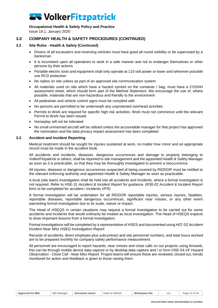#### **Occupational Health & Safety Policy and Practice**

Issue 19.1, January 2020

### **3.0 COMPANY HEALTH & SAFETY PROCEDURES (CONTINUED)**

#### **3.2 Site Rules - Health & Safety (Continued)**

- Drivers of all excavators and reversing vehicles must have good all round visibility or be supervised by a banksman
- It is incumbent upon all operatives to work in a safe manner and not to endanger themselves or other persons by their actions
- Portable electric tools and equipment shall only operate at 110 volt power or lower and wherever possible use RCD protection
- No radios on site unless as part of an approved site communication system
- All materials used on site which have a hazard symbol on the container / bag, must have a COSHH assessment sheet, which should form part of the Method Statement. We encourage the use of, where possible, materials that are non-hazardous and friendly to the environment
- All pedestrian and vehicle control signs must be complied with
- No persons are permitted to be underneath any unprotected overhead activities
- Permits to Work are required for specific high risk activities. Work must not commence until the relevant Permit to Work has been issued
- Horseplay will not be tolerated
- No small unmanned aircraft will be utilised unless the accountable manager for that project has approved the nomination and the data privacy impact assessment has been completed

#### **3.3 Accident and Incident Reporting**

<span id="page-21-0"></span>Medical treatment should be sought for injuries sustained at work, no matter how minor and an appropriate record must be made in the accident book.

All accidents and incidents, diseases, dangerous occurrences and damage to property belonging to VolkerFitzpatrick or others, shall be reported to site management and the appointed Health & Safety Manager as soon as it is practicable, so that they may be thoroughly investigated to prevent a reoccurrence.

All injuries, diseases or dangerous occurrences suspected of being covered by RIDDOR must be notified to the relevant enforcing authority and appointed Health & Safety Manager as soon as practicable.

A local (site team) investigation shall be held into all accidents and incidents, where a formal investigation is not required. Refer to HSE-31 *Accident & Incident Report* for guidance. (R30-02 *Accident & Incident Report*  form to be completed for accident / incidents VFR)

A formal investigation will be undertaken for all RIDDOR reportable injuries, serious injuries, fatalities, reportable diseases, reportable dangerous occurrences, significant near misses, or any other event warranting formal investigation due to its scale, nature or impact.

The Head of HSEQS in certain situations may request a formal investigation to be carried out for some accidents and incidents that would ordinarily be treated as local investigation. The Head of HSEQS expects to draw important lessons from a formal investigation.

Formal investigations will be completed by a representative of HSES and documented using H07-02 *Accident Incident Near Miss HSEQ Investigation Report.*

Records of accidents, direct employee plus subcontract and site personnel numbers, and total hours worked are to be prepared monthly for company safety performance measurement.

All personnel are encouraged to report hazards, near misses and close calls on our projects using Airsweb, this can be through mobile device data capture or by desktop data capture and / or form HSE-54-VF *Hazard Observation - Close Call - Near Miss Report.* Project teams will ensure these are reviewed, closed out, trends monitored for action and feedback is given to those raising them.

| <b>Approved for IMS:</b> | <b>IMS Manager</b> | Document owner: | Head of HSEQS | Workspace file: | n/a | Page 22 of 34 |
|--------------------------|--------------------|-----------------|---------------|-----------------|-----|---------------|
|                          |                    |                 |               |                 |     |               |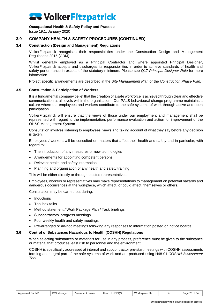#### **Occupational Health & Safety Policy and Practice**

Issue 19.1, January 2020

#### **3.0 COMPANY HEALTH & SAFETY PROCEDURES (CONTINUED)**

#### **3.4 Construction (Design and Management) Regulations**

<span id="page-22-0"></span>VolkerFitzpatrick recognises their responsibilities under the Construction Design and Management Regulations 2015 (CDM).

Whilst generally employed as a Principal Contractor and where appointed Principal Designer, VolkerFitzpatrick accepts and discharges its responsibilities in order to achieve standards of health and safety performance in excess of the statutory minimum. Please see Q17 *Principal Designer Role* for more information.

<span id="page-22-1"></span>Project specific arrangements are described in the *Site Management Plan* or the *Construction Phase Plan.*

#### **3.5 Consultation & Participation of Workers**

It is a fundamental company belief that the creation of a safe workforce is achieved through clear and effective communication at all levels within the organisation. Our PALS behavioural change programme maintains a culture where our employees and workers contribute to the safe systems of work through active and open participation.

VolkerFitzpatrick will ensure that the views of those under our employment and management shall be represented with regard to the implementation, performance evaluation and action for improvement of the OH&S Management System.

Consultation involves listening to employees' views and taking account of what they say before any decision is taken.

Employees / workers will be consulted on matters that affect their health and safety and in particular, with regard to:

- The introduction of any measures or new technologies
- Arrangements for appointing competent persons
- Relevant health and safety information
- Planning and organisation of any health and safety training

This will be either directly or through elected representatives.

Employees, workers or representatives may make representations to management on potential hazards and dangerous occurrences at the workplace, which affect, or could affect, themselves or others.

Consultation may be carried out during:

- Inductions
- Tool box talks
- Method statement / Work Package Plan / Task briefings
- Subcontractors' progress meetings
- Four weekly health and safety meetings
- <span id="page-22-2"></span>• Pre-arranged or ad-hoc meetings following any responses to information posted on notice boards

#### **3.6 Control of Substances Hazardous to Health (COSHH) Regulations**

When selecting substances or materials for use in any process, preference must be given to the substance or material that produces least risk to personnel and the environment.

COSHH is specifically addressed at internal and subcontractor pre-start meetings with COSHH assessments forming an integral part of the safe systems of work and are produced using H48-01 *COSHH Assessment Tool*.

| Approved for IMS: | <b>IMS</b><br>نا S Manager | Document owner: | Head of HSEQS | Workspace file: | n/a | Page 23 of 5. |
|-------------------|----------------------------|-----------------|---------------|-----------------|-----|---------------|
|                   |                            |                 |               |                 |     |               |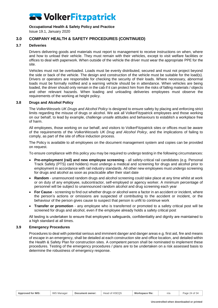#### **Occupational Health & Safety Policy and Practice**

Issue 19.1, January 2020

#### **3.0 COMPANY HEALTH & SAFETY PROCEDURES (CONTINUED)**

#### **3.7 Deliveries**

<span id="page-23-0"></span>Drivers delivering goods and materials must report to management to receive instructions on when, where and how to unload their vehicle. They must remain with their vehicles, except to visit welfare facilities or offices to deal with paperwork. When outside of the vehicle the driver must wear the appropriate PPE for the site.

Vehicles must not be overloaded. Loads must be evenly distributed, secured and must not project beyond the side or back of the vehicle. The design and construction of the vehicle must be suitable for the load(s). Drivers or operators are responsible for checking the security of their loads. Where necessary, abnormal loads must be formally notified and a warning vehicle should be in attendance. When vehicles are being loaded, the driver should only remain in the cab if it can protect him from the risks of falling materials / objects and other relevant hazards. When loading and unloading deliveries employees must observe the requirements of the working at height policy.

#### **3.8 Drugs and Alcohol Policy**

<span id="page-23-1"></span>The *VolkerWessels UK Drugs and Alcohol Policy* is designed to ensure safety by placing and enforcing strict limits regarding the misuse of drugs or alcohol. We ask all VolkerFitzpatrick employees and those working on our behalf, to lead by example, challenge unsafe attitudes and behaviours to establish a workplace free of harm.

All employees, those working on our behalf, and visitors to VolkerFitzpatrick sites or offices must be aware of the requirements of the *VolkerWessels UK Drug and Alcohol Policy*, and the implications of failing to comply, as part of the site of office induction process.

The Policy is available to all employees on the document management system and copies can be provided on request.

To ensure compliance with this policy you may be required to undergo testing in the following circumstances:

- **Pre-employment (rail) and new employee screening** all safety-critical rail candidates (e.g. Personal Track Safety (PTS) card holders) must undergo a medical and screening for drugs and alcohol prior to employment in accordance with rail industry standards. All other new employees must undergo screening for drugs and alcohol as soon as practicable after their start date
- **Random** unannounced random drugs and alcohol screening could take place at any time whilst at work or on duty of any employee, subcontractor, self-employed or agency worker. A minimum percentage of personnel will be subject to unannounced random alcohol and drug screening each year
- **For Cause** screening to find out whether drugs or alcohol were a factor in an accident or incident, where the person's actions or omissions are suspected of contributing to the accident or incident, or the behaviour of the person gives cause to suspect that person is unfit to continue work
- **Transfer or promotion** any employee who is transferred or promoted to a safety critical post will be screened for drugs and alcohol, even if the employee already holds a safety critical post

All testing is undertaken to ensure that employee's safeguards, confidentiality and dignity are maintained to a high standard at all times.

#### **3.9 Emergency Procedures**

<span id="page-23-2"></span>Procedures to deal with potential serious and imminent danger and danger areas e.g. first aid, fire and means of escape in an emergency, shall be detailed at each construction site and office location, and detailed within the Health & Safety Plan for construction sites. A competent person shall be nominated to implement these procedures. Testing of the emergency procedures / plans are to be undertaken on a risk assessed basis to determine the robustness of emergency response.

|  | <b>Approved for IMS:</b> | <b>IMS Manager</b> | Document owner: | Head of HSEQS | Workspace file: | n/a | Page 24 of 34 |
|--|--------------------------|--------------------|-----------------|---------------|-----------------|-----|---------------|
|--|--------------------------|--------------------|-----------------|---------------|-----------------|-----|---------------|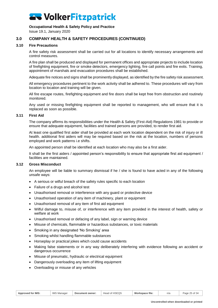#### **Occupational Health & Safety Policy and Practice**

Issue 19.1, January 2020

### **3.0 COMPANY HEALTH & SAFETY PROCEDURES (CONTINUED)**

#### **3.10 Fire Precautions**

<span id="page-24-0"></span>A fire safety risk assessment shall be carried out for all locations to identify necessary arrangements and control measures.

A fire plan shall be produced and displayed for permanent offices and appropriate projects to include location of firefighting equipment, fire or smoke detectors, emergency lighting, fire call points and fire exits. Training, appointment of marshals and evacuation procedures shall be established.

Adequate fire notices and signs shall be prominently displayed, as identified by the fire safety risk assessment.

All emergency procedures pertinent to the work activity shall be adhered to. These procedures will vary from location to location and training will be given.

All fire escape routes, firefighting equipment and fire doors shall be kept free from obstruction and routinely monitored.

Any used or missing firefighting equipment shall be reported to management, who will ensure that it is replaced as soon as possible.

#### **3.11 First Aid**

<span id="page-24-1"></span>The company affirms its responsibilities under the Health & Safety (First-Aid) Regulations 1981 to provide or ensure that adequate equipment, facilities and trained persons are provided, to render first aid.

At least one qualified first aider shall be provided at each work location dependent on the risk of injury or ill health. additional first aiders will may be required based on the risk at the location, numbers of persons employed and work patterns i.e shifts.

An appointed person shall be identified at each location who may also be a first aider.

It shall be the first aiders / appointed person's responsibility to ensure that appropriate first aid equipment / facilities are maintained.

#### **3.12 Gross Misconduct**

<span id="page-24-2"></span>An employee will be liable to summary dismissal if he / she is found to have acted in any of the following unsafe ways:

- A serious or wilful breach of the safety rules specific to each location
- Failure of a drugs and alcohol test
- Unauthorised removal or interference with any guard or protective device
- Unauthorised operation of any item of machinery, plant or equipment
- Unauthorised removal of any item of first aid equipment
- Wilful damage to, misuse of, or interference with any item provided in the interest of health, safety or welfare at work
- Unauthorised removal or defacing of any label, sign or warning device
- Misuse of chemicals, flammable or hazardous substances, or toxic materials
- Smoking in any designated 'No Smoking' area
- Smoking whilst handling flammable substances
- Horseplay or practical jokes which could cause accidents
- Making false statements or in any way deliberately interfering with evidence following an accident or dangerous occurrence
- Misuse of pneumatic, hydraulic or electrical equipment
- Dangerously overloading any item of lifting equipment
- Overloading or misuse of any vehicles

|                          |                       |                 | ∍∼                  | Wor.<br>---   |     | $\sim$ $\sim$ |
|--------------------------|-----------------------|-----------------|---------------------|---------------|-----|---------------|
| <b>Approved for IMS:</b> | <b>IMS</b><br>Manager | Document owner: | Чеас<br>חריו<br>−ພບ | *kspace file: | n/a | ⊃ane<br>-50   |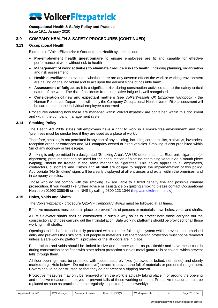#### **Occupational Health & Safety Policy and Practice**

Issue 19.1, January 2020

### **3.0 COMPANY HEALTH & SAFETY PROCEDURES (CONTINUED)**

#### **3.13 Occupational Health**

<span id="page-25-0"></span>Elements of VolkerFitzpatrick's Occupational Health system include:

- **Pre-employment health questionnaire** to ensure employees are fit and capable for effective performance at work without risk to health
- **Management of work activities to eliminate / reduce risks to health**, including planning, organisation and risk assessment
- **Health surveillance** to evaluate whether there are any adverse effects the work or working environment are having on the individual and to act upon the earliest signs of possible harm
- **Assessment of fatigue**, as it is a significant risk during construction activities due to the safety critical nature of the work. The risk of accidents from cumulative fatigue is well recognised
- **Consideration of new and expectant mothers** (see *VolkerWessels UK Employee Handbook*) the Human Resources Department will notify the Company Occupational Health Nurse. Risk assessment will be carried out on the individual employee concerned

Procedures detailing how these are managed within VolkerFitzpatrick are contained within this document and within the company management system.

#### **3.14 Smoking Policy**

<span id="page-25-1"></span>The Health Act 2006 states "all employees have a right to work in a smoke free environment" and that "premises must be smoke free if they are used as a place of work".

Therefore, smoking is not permitted in any part of any building, including corridors, lifts, stairways, lavatories, reception areas or entrances and ALL company owned or hired vehicles. Smoking is also prohibited within 5m of any doorway or fire escape.

Smoking is only permitted in a designated "Smoking Area". VW UK determines that Electronic cigarettes (ecigarettes), products that can be used for the consumption of nicotine-containing vapour via a mouth piece (vaping), should be treated in the same manner as cigarettes. This policy applies to all employees, contractors, customers and visitors and all staff are obliged to support the implementation of this policy. Appropriate "No Smoking" signs will be clearly displayed at all entrances and exits, within the premises, and in company vehicles.

Those who do not comply with the smoking law are liable to a fixed penalty fine and possible criminal prosecution. If you would like further advice or assistance on quitting smoking please contact Occupational Health on 01992 305045 or the NHS by calling 0300 123 1044 [\(http://smokefree.nhs.uk/\)](http://smokefree.nhs.uk/).

#### **3.15 Holes, Voids and Shafts**

<span id="page-25-2"></span>The VolkerFitzpatrick procedure Q25-VF *Temporary Works* must be followed at all times.

Effective measures must be put in place to prevent falls of persons or materials down holes, voids and shafts.

All lift / elevator shafts shall be constructed in such a way so as to protect both those carrying out the construction and those carrying out the lift installation. Safe working platforms should be provided for all those working in lift shafts.

Openings to lift shafts must be fully protected with a secure, full height system which prevents unauthorised entry and prevents the risks of falls of people or materials. Lift shaft opening protection must not be removed unless a safe working platform is provided or the lift doors are in place.

Penetrations and voids should be limited in size and number as far as practicable and have mesh cast in during construction or be fitted with other robust protection such as metal guard rails or covers, which prevent falls through them.

All floor openings must be protected with robust, securely fixed (screwed or bolted, not nailed) and clearly marked (e.g. 'Hole below - Do not remove') covers to prevent the fall of materials or persons through them. Covers should be constructed so that they do not present a tripping hazard.

Protective measures may only be removed when the work is actually taking place in or around the opening and effective measures employed to prevent falls of those working on them. Protective measures must be replaced as soon as practical and be regularly inspected (at least weekly).

| <b>IMS Manager</b><br>Head of HSEQS<br><b>Approved for IMS:</b><br>Workspace file:<br>Document owner:<br>n/a |  |  |  |  |  | Page 26 of 34 |
|--------------------------------------------------------------------------------------------------------------|--|--|--|--|--|---------------|
|--------------------------------------------------------------------------------------------------------------|--|--|--|--|--|---------------|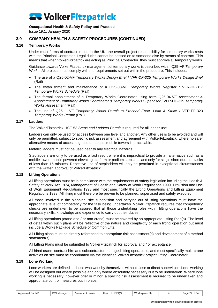#### **Occupational Health & Safety Policy and Practice**

Issue 19.1, January 2020

#### **3.0 COMPANY HEALTH & SAFETY PROCEDURES (CONTINUED)**

#### **3.16 Temporary Works**

<span id="page-26-0"></span>Under most forms of contract in use in the UK, the overall project responsibility for temporary works rests with the Principal Contractor. Legal duties cannot be passed on to someone else by means of contract. This means that when VolkerFitzpatrick are acting as Principal Contractor, they must approve all temporary works.

Guidance towards VolkerFitzpatrick management of temporary works is described within Q25-VF *Temporary Works*. All projects must comply with the requirements set out within the procedure. This includes:

- The use of a Q25-02-VF *Temporary Works Design Brief* / *VFR-DF-325 Temporary Works Design Brief* (Rail)
- The establishment and maintenance of a Q25-03-VF *Temporary Works Register* / VFR-DF-317 *Temporary Works Schedule* (Rail)
- The formal appointment of a Temporary Works Coordinator using form Q25-04-*VF Assessment & Appointment of Temporary Works Coordinator & Temporary Works Supervisor* / VFR-DF-319 *Temporary Works Assessment* (Rail)
- The use of Q25-11-VF *Temporary Works Permit to Proceed Erect, Load & Strike* / VFR-EF-323 *Temporary Works Permit* (Rail)

#### **3.17 Ladders**

<span id="page-26-1"></span>The VolkerFitzpatrick HSE-53 *Steps and Ladders Permit* is required for all ladder use.

Ladders can only be used for access between one level and another. Any other use is to be avoided and will only be permitted, subject to specific risk assessment and agreement with VolkerFitzpatrick, where no safer alternative means of access e.g. podium steps, mobile towers is practicable.

Metallic ladders must not be used near to any electrical hazards.

Stepladders are only to be used as a last resort where it is impractical to provide an alternative such as a mobile tower, mobile powered elevating platform or podium steps etc. and only for single short duration tasks of less than 15 minutes. Repetitive use of stepladders will only be permitted in exceptional circumstances with the written approval of VolkerFitzpatrick.

#### **3.18 Lifting Operations**

<span id="page-26-2"></span>All lifting operations must be in compliance with the requirements of safety legislation including the Health & Safety at Work Act 1974, Management of Health and Safety at Work Regulations 1999, Provision and Use of Work Equipment Regulations 1998 and most specifically the Lifting Operations and Lifting Equipment Regulations 1998. All lifting must therefore be proven to be planned, supervised and safely executed.

All those involved in the planning, site supervision and carrying out of lifting operations must have the appropriate level of competency for the task being undertaken. VolkerFitzpatrick requires that competency checks are undertaken to be assured that all those undertaking roles within lifting operations have the necessary skills, knowledge and experience to carry out their duties.

All lifting operations (crane and / or non-crane) must be covered by an appropriate Lifting Plan(s). The level of detail within such plans will be reflective of the nature and complexity of each lifting operation but must include a Works Package Schedule of Common Lifts.

All Lifting plans must be directly referenced to appropriate risk assessment(s) and development of a method statement(s).

All Lifting Plans must be submitted to VolkerFitzpatrick for approval and / or acceptance.

All hired crane, contract hire and subcontractor managed lifting operations, and most specifically multi-crane activities on site must be coordinated via the identified VolkerFitzpatrick project Lifting Coordinator.

#### **3.19 Lone Working**

<span id="page-26-3"></span>Lone workers are defined as those who work by themselves without close or direct supervision. Lone working will be designed out where possible and only where absolutely necessary is it to be undertaken. Where lone working is necessary, however brief or minor, a specific risk assessment is required to be undertaken and appropriate control measures put in place.

|  | Approved for IMS: | IMS N<br>Manager | Document owner: | Head of HSEQS | Workspace file: | n/a | . 27 of 34<br>Page <sup>-</sup> |
|--|-------------------|------------------|-----------------|---------------|-----------------|-----|---------------------------------|
|--|-------------------|------------------|-----------------|---------------|-----------------|-----|---------------------------------|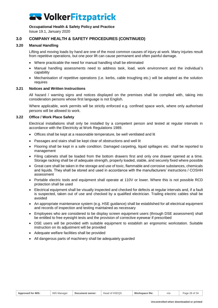#### **Occupational Health & Safety Policy and Practice**

Issue 19.1, January 2020

### **3.0 COMPANY HEALTH & SAFETY PROCEDURES (CONTINUED)**

#### **3.20 Manual Handling**

<span id="page-27-0"></span>Lifting and moving loads by hand are one of the most common causes of injury at work. Many injuries result from repetitive operations, but one poor lift can cause permanent and often painful damage.

- Where practicable the need for manual handling shall be eliminated
- Manual handling assessments need to address task, load, work environment and the individual's capability
- Mechanisation of repetitive operations (i.e. kerbs, cable troughing etc.) will be adopted as the solution requires

#### **3.21 Notices and Written Instructions**

<span id="page-27-1"></span>All hazard / warning signs and notices displayed on the premises shall be complied with, taking into consideration persons whose first language is not English.

Where applicable, work permits will be strictly enforced e.g. confined space work, where only authorised persons will be allowed to work.

#### **3.22 Office / Work Place Safety**

<span id="page-27-2"></span>Electrical installations shall only be installed by a competent person and tested at regular intervals in accordance with the Electricity at Work Regulations 1989.

- Offices shall be kept at a reasonable temperature, be well ventilated and lit
- Passages and stairs shall be kept clear of obstructions and well lit
- Flooring shall be kept in a safe condition. Damaged carpeting, liquid spillages etc. shall be reported to management
- Filing cabinets shall be loaded from the bottom drawers first and only one drawer opened at a time. Storage racking shall be of adequate strength, properly loaded, stable, and securely fixed where possible
- Great care shall be taken in the storage and use of toxic, flammable and corrosive substances, chemicals and liquids. They shall be stored and used in accordance with the manufacturers' instructions / COSHH assessment
- Portable electric tools and equipment shall operate at 110V or lower. Where this is not possible RCD protection shall be used
- Electrical equipment shall be visually inspected and checked for defects at regular intervals and, if a fault is suspected, taken out of use and checked by a qualified electrician. Trailing electric cables shall be avoided
- An appropriate maintenance system (e.g. HSE guidance) shall be established for all electrical equipment and records of inspection and testing maintained as necessary
- Employees who are considered to be display screen equipment users (through DSE assessment) shall be entitled to free eyesight tests and the provision of corrective eyewear if prescribed
- DSE users will be provided with suitable equipment to establish an ergonomic workstation. Suitable instruction on its adjustment will be provided
- Adequate welfare facilities shall be provided
- All dangerous parts of machinery shall be adequately guarded

| r IMS<br>Approved | <b>IMS</b><br>Manager | Document owner: | $\sqrt{2}$<br>$A$ , $A$ , $B$<br>ᆜᇬᇬ<br>noewo<br>$\cup$<br>ıcau | Workspace file. | n/a | $\Omega$<br>Page |
|-------------------|-----------------------|-----------------|-----------------------------------------------------------------|-----------------|-----|------------------|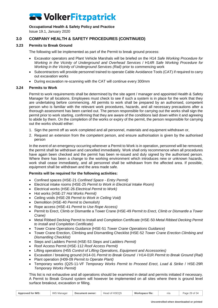#### **Occupational Health & Safety Policy and Practice**

Issue 19.1, January 2020

### **3.0 COMPANY HEALTH & SAFETY PROCEDURES (CONTINUED)**

#### **3.23 Permits to Break Ground**

<span id="page-28-0"></span>The following will be implemented as part of the Permit to break ground process:

- Excavator operators and Plant Vehicle Marshals will be briefed on the H14 *Safe Working Procedure for Working in the Vicinity of Underground and Overhead Services* / H14R *Safe Working Procedure for Working in the Vicinity of Underground Services (Rail)* prior to commencing work
- Subcontractors will provide personnel trained to operate Cable Avoidance Tools (CAT) if required to carry out excavation works
- <span id="page-28-1"></span>• During excavation re-scanning with the CAT will continue every 300mm

#### **3.24 Permits to Work**

Permit to work requirements shall be determined by the site agent / manager and appointed Health & Safety Manager for all locations. Employees must check to see if such a system is in place for the work that they are undertaking before commencing. All permits to work shall be prepared by an authorised, competent person who is familiar with the relevant work procedures, hazards, and all necessary precautions after a thorough assessment has been carried out. The person responsible for carrying out the works shall sign the permit prior to work starting, confirming that they are aware of the conditions laid down within it and agreeing to abide by them. On the completion of the works or expiry of the permit, the person responsible for carrying out the works should either:

- 1. Sign the permit off as work completed and all personnel, materials and equipment withdrawn or,
- 2. Request an extension from the competent person, and ensure authorisation is given by the authorised person

In the event of an emergency occurring wherever a Permit to Work is in operation, personnel will be removed; the permit shall be withdrawn and cancelled immediately. Work shall only recommence when all procedures have again been checked and the permit has been re-issued and duly signed by the authorised person. Where there has been a change to the working environment which introduces new or unknown hazards, work shall cease immediately, and all personnel shall be withdrawn from the affected area. If possible, equipment shall be withdrawn and the area made safe.

#### **Permits will be required for the following activities:**

- Confined spaces (HSE-21 *Confined Space - Entry Permit)*
- Electrical intake rooms (HSE-25 *Permit to Work in Electrical Intake Room)*
- Electrical works (HSE-26 *Electrical Permit to Work)*
- Hot works (HSE-27 *Hot Works Permit)*
- Ceiling voids (HSE-28 *Permit to Work in Ceiling Void)*
- Demolition (HSE-40 *Permit to Demolish)*
- Rope access (HSE-41 *Permit to Use Rope Access)*
- Permit to Erect, Climb or Dismantle a Tower Crane (HSE-49 *Permit to Erect, Climb or Dismantle a Tower Crane)*
- Metal Ribbed Decking Permit to Install and Completion Certificate (HSE-50 *Metal Ribbed Decking Permit to Install and Completion Certificate)*
- Tower Crane Operations Guidance (HSE-51 *Tower Crane Operations Guidance)*
- Tower Crane Erection, Climbing and Dismantling Checklist (HSE-52 *Tower Crane Erection Climbing and Dismantling Checklist)*
- Steps and Ladders Permit (HSE-53 *Steps and Ladders Permit)*
- Roof Access Permit (HSE-112 *Roof Access Permit)*
- Lifting operations (H55 *Control of Lifting Operations, Equipment and Accessories)*
- Excavation / breaking ground (H14-01 *Permit to Break Ground* / H14-01R *Permit to Break Ground (Rail)*
- Plant operation (H09-09 *Permit to Operate Plant)*
- Temporary works (Q25-11-VF *Temporary Works Permit to Proceed Erect, Load & Strike* / HSE-29R *Temporary Works Permit)*

This list is not exhaustive and all operations should be examined in detail and permits initiated if necessary. A Permit to Break Ground system will however be implemented on all sites where there is ground level surface breakout, excavation or filling.

| <b>Approved for IMS:</b> | <b>IMS Manager</b> | Document owner: | Head of HSEQS | Workspace file: | n/a | Page 29 of 34 |
|--------------------------|--------------------|-----------------|---------------|-----------------|-----|---------------|
|                          |                    |                 |               |                 |     |               |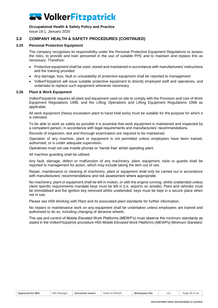#### **Occupational Health & Safety Policy and Practice**

Issue 19.1, January 2020

### **3.0 COMPANY HEALTH & SAFETY PROCEDURES (CONTINUED)**

#### **3.25 Personal Protective Equipment**

<span id="page-29-0"></span>The company recognises its responsibility under the Personal Protective Equipment Regulations to assess the risks, to provide and train personnel in the use of suitable PPE and to maintain and replace this as necessary. Therefore:

- Protective equipment shall be used, stored and maintained in accordance with manufacturers' instructions and the training provided
- Any damage, loss, fault or unsuitability of protective equipment shall be reported to management
- VolkerFitzpatrick will issue suitable protective equipment to directly employed staff and operatives, and undertake to replace such equipment whenever necessary

#### **3.26 Plant & Work Equipment**

<span id="page-29-1"></span>VolkerFitzpatrick requires all plant and equipment used on site to comply with the Provision and Use of Work Equipment Regulations 1998, and the Lifting Operations and Lifting Equipment Regulations 1998 as applicable.

All work equipment (heavy excavation plant to hand held tools) must be suitable for the purpose for which it is intended.

To be able to work as safely as possible it is essential that work equipment is maintained and inspected by a competent person, in accordance with legal requirements and manufacturers' recommendations.

Records of inspection, test and thorough examination are required to be maintained.

Operation of any machine, plant or equipment is not permitted unless employees have been trained, authorised, or is under adequate supervision.

Operatives must not use mobile phones or 'hands free' whilst operating plant.

All machine guarding shall be utilised.

Any fault, damage, defect or malfunction of any machinery, plant, equipment, tools or guards shall be reported to management for action, which may include taking the item out of use.

Repair, maintenance or cleaning of machinery, plant or equipment shall only be carried out in accordance with manufacturers' recommendations and risk assessment where appropriate.

No machinery, plant or equipment shall be left in motion, or with the engine running, whilst unattended unless client specific requirements mandate keys must be left in (i.e. airports on airside). Plant and vehicles must be immobilised and the ignition key removed whilst unattended, keys must be kept in a secure place when not in use.

Please see H09 *Working with Plant* and its associated plant standards for further information.

No repairs or maintenance work on any equipment shall be undertaken unless employees are trained and authorised to do so, including changing of abrasive wheels.

The use and control of Mobile Elevated Work Platforms (MEWP's) must observe the minimum standards as stated in the VolkerFitzpatrick procedure H50 *Mobile Elevated Work Platforms (MEWPs) Minimum Standard.*

| <b>IMS</b><br><b>Approved for IMS:</b> | Manage<br>Document owner: | of HSEQS<br>Head | Workspace file: | n/a | Page 30 of 34<br>. 34 |
|----------------------------------------|---------------------------|------------------|-----------------|-----|-----------------------|
|----------------------------------------|---------------------------|------------------|-----------------|-----|-----------------------|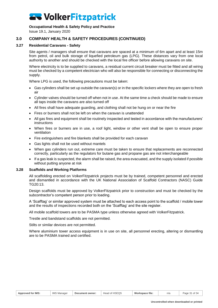#### **Occupational Health & Safety Policy and Practice**

Issue 19.1, January 2020

### **3.0 COMPANY HEALTH & SAFETY PROCEDURES (CONTINUED)**

#### **3.27 Residential Caravans - Safety**

<span id="page-30-0"></span>Site agents / managers shall ensure that caravans are spaced at a minimum of 6m apart and at least 15m from petrol, oil and bulk storage of liquefied petroleum gas (LPG). These distances vary from one local authority to another and should be checked with the local fire officer before allowing caravans on site.

Where electricity is to be supplied to caravans, a residual current circuit breaker must be fitted and all wiring must be checked by a competent electrician who will also be responsible for connecting or disconnecting the supply.

Where LPG is used, the following precautions must be taken:

- Gas cylinders shall be set up outside the caravan(s) or in the specific lockers where they are open to fresh air
- Cylinder valves should be turned off when not in use. At the same time a check should be made to ensure all taps inside the caravans are also turned off
- All fires shall have adequate guarding, and clothing shall not be hung on or near the fire
- Fires or burners shall not be left on when the caravan is unattended
- All gas fires and equipment shall be routinely inspected and tested in accordance with the manufacturers' instructions
- When fires or burners are in use, a roof light, window or other vent shall be open to ensure proper ventilation
- Fire extinguishers and fire blankets shall be provided for each caravan
- Gas lights shall not be used without mantels
- When gas cylinders run out, extreme care must be taken to ensure that replacements are reconnected correctly, particularly as the regulators for butane gas and propane gas are not interchangeable
- If a gas leak is suspected, the alarm shall be raised, the area evacuated, and the supply isolated if possible without putting anyone at risk

#### **3.28 Scaffolds and Working Platforms**

<span id="page-30-1"></span>All scaffolding erected on VolkerFitzpatrick projects must be by trained, competent personnel and erected and dismantled in accordance with the UK National Association of Scaffold Contractors (NASC) Guide TG20:13.

Design scaffolds must be approved by VolkerFitzpatrick prior to construction and must be checked by the subcontractor's competent person prior to loading.

A 'Scafftag' or similar approved system must be attached to each access point to the scaffold / mobile tower and the results of inspections recorded both on the 'Scafftag' and the site register.

All mobile scaffold towers are to be PASMA type unless otherwise agreed with VolkerFitzpatrick.

Trestle and bandstand scaffolds are not permitted.

Stilts or similar devices are not permitted.

Where aluminium tower access equipment is in use on site, all personnel erecting, altering or dismantling are to be PASMA trained and certified.

| <b>Approved for IMS:</b> | <b>IMS</b><br>Manager ر | Document owner: | lead of HSEQS<br>Hood | Workspace file: | n/a | Page 5<br>.⊥ of ? ″<br>. .34 |
|--------------------------|-------------------------|-----------------|-----------------------|-----------------|-----|------------------------------|
|                          |                         |                 |                       |                 |     |                              |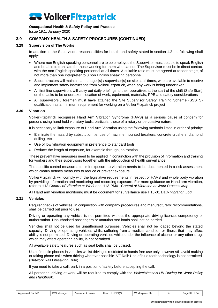#### **Occupational Health & Safety Policy and Practice**

Issue 19.1, January 2020

### **3.0 COMPANY HEALTH & SAFETY PROCEDURES (CONTINUED)**

#### **3.29 Supervision of The Works**

<span id="page-31-0"></span>In addition to the Supervisors responsibilities for health and safety stated in section 1.2 the following shall apply:

- Where non English-speaking personnel are to be employed the Supervisor must be able to speak English and be able to translate for those working for them who cannot. The Supervisor must be in direct contact with the non-English speaking personnel at all times. A suitable ratio must be agreed at tender stage, of not more than one interpreter to 8 non English speaking personnel
- Subcontractors will maintain a manager(s) / supervisor(s) on site at all times, who are available to receive and implement safety instructions from VolkerFitzpatrick, when any work is being undertaken
- All first line supervisors will carry out daily briefings to their operatives at the start of the shift (Safe Start) on the tasks to be undertaken, location of work, equipment, materials, PPE and safety considerations
- All supervisors / foremen must have attained the Site Supervisor Safety Training Scheme (SSSTS) qualification as a minimum requirement for working on a VolkerFitzpatrick project

#### **3.30 Vibration**

<span id="page-31-1"></span>VolkerFitzpatrick recognises Hand Arm Vibration Syndrome (HAVS) as a serious cause of concern for persons using hand held vibratory tools, particular those of a rotary or percussive nature.

It is necessary to limit exposure to Hand Arm Vibration using the following methods listed in order of priority:

- Eliminate the hazard by substitution i.e. use of machine mounted breakers, concrete crushers, diamond drilling, etc.
- Use of low vibration equipment in preference to standard tools
- Reduce the length of exposure, for example through job rotation

These preventative measures need to be applied in conjunction with the provision of information and training for workers and their supervisors together with the introduction of health surveillance.

The specific control measures to limit exposure to vibration needs to be documented in a risk assessment which clearly defines measures to reduce or prevent exposure.

VolkerFitzpatrick will comply with the legislative requirements in respect of HAVS and whole body vibration by providing information and monitoring and recording exposure. For more guidance on Hand arm vibration, refer to H13 *Control of Vibration at Work* and H13-PM01 *Control of Vibration at Work Process Map.*

<span id="page-31-2"></span>All Hand arm vibration monitoring must be document for surveillance use H13-01 *Daily Vibration Log.* 

#### **3.31 Vehicles**

Regular checks of vehicles, in conjunction with company procedures and manufacturers' recommendations, shall be carried out prior to use.

Driving or operating any vehicle is not permitted without the appropriate driving licence, competency or authorisation. Unauthorised passengers or unauthorised loads shall not be carried.

Vehicles shall not be used for unauthorised purposes. Vehicles shall not be loaded beyond the stated capacity. Driving or operating vehicles whilst suffering from a medical condition or illness that may affect ability is not permitted. Driving or operating vehicles whilst under the influence of alcohol or any other drug, which may affect operating ability, is not permitted.

All available safety features such as seat belts shall be utilised.

Use of mobile phones in vehicles whilst driving is restricted to hands free use only however still avoid making or taking phone calls when driving wherever possible. VF Rail: Use of blue tooth technology is not permitted. (Network Rail Lifesaving Rule).

If you need to take a call, park in a position of safety before accepting the call.

All personnel driving at work will be required to comply with the *VolkerWessels UK Driving for Work Policy and Handbook*.

| <b>Approved for IMS:</b> | <b>IMS Manager</b> | Document owner: | Head of HSEQS | Workspace file: | n/a | Page 32 of 34 |
|--------------------------|--------------------|-----------------|---------------|-----------------|-----|---------------|
|--------------------------|--------------------|-----------------|---------------|-----------------|-----|---------------|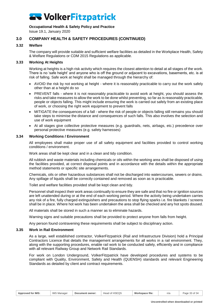#### **Occupational Health & Safety Policy and Practice**

Issue 19.1, January 2020

#### **3.0 COMPANY HEALTH & SAFETY PROCEDURES (CONTINUED)**

#### **3.32 Welfare**

<span id="page-32-0"></span>The company will provide suitable and sufficient welfare facilities as detailed in the Workplace Health, Safety & Welfare Regulations or CDM 2015 Regulations as applicable.

#### **3.33 Working At Heights**

<span id="page-32-1"></span>Working at heights is a high risk activity which requires the closest attention to detail at all stages of the work. There is no 'safe height' and anyone who is off the ground or adjacent to excavations, basements, etc. is at risk of falling. Safe work at height shall be managed through the hierarchy of:

- AVOID the risk by not working at height where it is reasonably practicable to carry out the work safely other than at a height do so
- PREVENT falls where it is not reasonably practicable to avoid work at height, you should assess the risks and take measures to allow the work to be done whilst preventing, so far as is reasonably practicable, people or objects falling. This might include ensuring the work is carried out safely from an existing place of work, or choosing the right work equipment to prevent falls
- MITIGATE the consequences of a fall where the risk of people or objects falling still remains you should take steps to minimise the distance and consequences of such falls. This also involves the selection and use of work equipment
- At all stages give collective protective measures (e.g. guardrails, nets, airbags, etc.) precedence over personal protective measures (e.g. safety harnesses)

#### **3.34 Working Conditions / Environment**

<span id="page-32-2"></span>All employees shall make proper use of all safety equipment and facilities provided to control working conditions / environment.

Work areas shall be kept clear and in a clean and tidy condition.

All rubbish and waste materials including chemicals or oils within the working area shall be disposed of using the facilities provided, at correct disposal points and in accordance with the details within the appropriate method statements or specific site arrangements.

Chemicals, oils or other hazardous substances shall not be discharged into watercourses, sewers or drains. Any spillage of liquids shall be correctly contained and removed as soon as is practicable.

Toilet and welfare facilities provided shall be kept clean and tidy.

Personnel shall inspect their work areas continually to ensure they are safe and that no fire or ignition sources are left unattended during or at the end of each working period. Where the activity being undertaken carries any risk of a fire, fully charged extinguishers and precautions to stop flying sparks i.e. fire blankets / screens shall be in place. Where hot work has been undertaken the area shall be checked and any hot spots doused.

All materials shall be stored in such a manner as to eliminate hazards.

Warning signs and suitable precautions shall be provided to protect anyone from falls from height.

<span id="page-32-3"></span>Any person found contravening these requirements shall be subject to disciplinary action.

#### **3.35 Work in Rail Environment**

As a large, well established contractor, VolkerFitzpatrick (Rail and Infrastructure Division) hold a Principal Contractors Licence that details the management arrangements for all works in a rail environment. They, along with the supporting procedures, enable rail work to be conducted safely, efficiently and in compliance with all relevant Railway Group and Network Rail Standards.

For work on London Underground, VolkerFitzpatrick have developed procedures and systems to be compliant with Quality, Environment, Safety and Health (QUENSH) standards and relevant Engineering Standards as detailed by client and contract requirements.

| Approved for IMS: | <b>IMS Manager</b> | Document owner: | Head of HSEQS | Workspace file: | n/a | Page 33 of 34 |
|-------------------|--------------------|-----------------|---------------|-----------------|-----|---------------|
|-------------------|--------------------|-----------------|---------------|-----------------|-----|---------------|